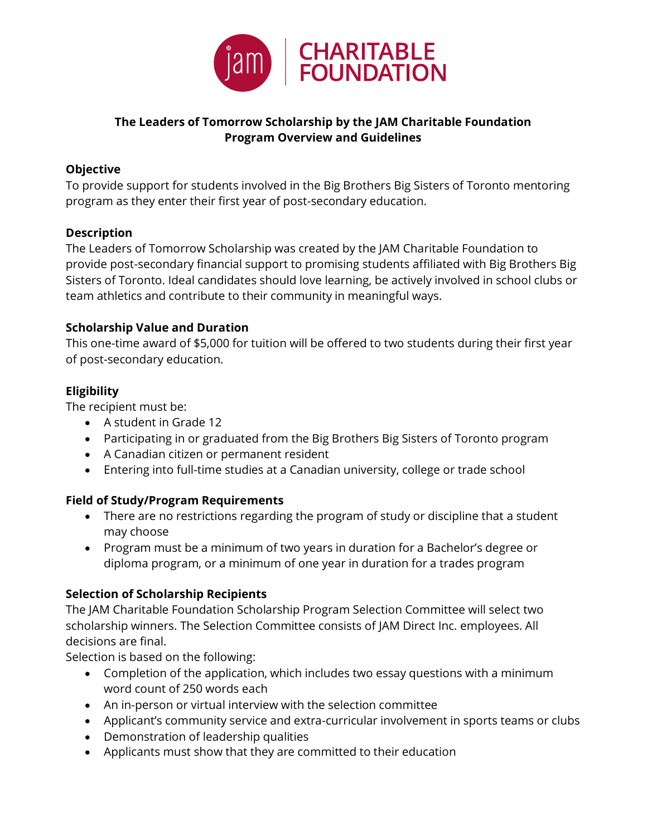

## **The Leaders of Tomorrow Scholarship by the JAM Charitable Foundation Program Overview and Guidelines**

#### **Objective**

To provide support for students involved in the Big Brothers Big Sisters of Toronto mentoring program as they enter their first year of post-secondary education.

#### **Description**

The Leaders of Tomorrow Scholarship was created by the JAM Charitable Foundation to provide post-secondary financial support to promising students affiliated with Big Brothers Big Sisters of Toronto. Ideal candidates should love learning, be actively involved in school clubs or team athletics and contribute to their community in meaningful ways.

#### **Scholarship Value and Duration**

This one-time award of \$5,000 for tuition will be offered to two students during their first year of post-secondary education.

## **Eligibility**

The recipient must be:

- A student in Grade 12
- Participating in or graduated from the Big Brothers Big Sisters of Toronto program
- A Canadian citizen or permanent resident
- Entering into full-time studies at a Canadian university, college or trade school

## **Field of Study/Program Requirements**

- There are no restrictions regarding the program of study or discipline that a student may choose
- Program must be a minimum of two years in duration for a Bachelor's degree or diploma program, or a minimum of one year in duration for a trades program

## **Selection of Scholarship Recipients**

The JAM Charitable Foundation Scholarship Program Selection Committee will select two scholarship winners. The Selection Committee consists of JAM Direct Inc. employees. All decisions are final.

Selection is based on the following:

- Completion of the application, which includes two essay questions with a minimum word count of 250 words each
- An in-person or virtual interview with the selection committee
- Applicant's community service and extra-curricular involvement in sports teams or clubs
- Demonstration of leadership qualities
- Applicants must show that they are committed to their education